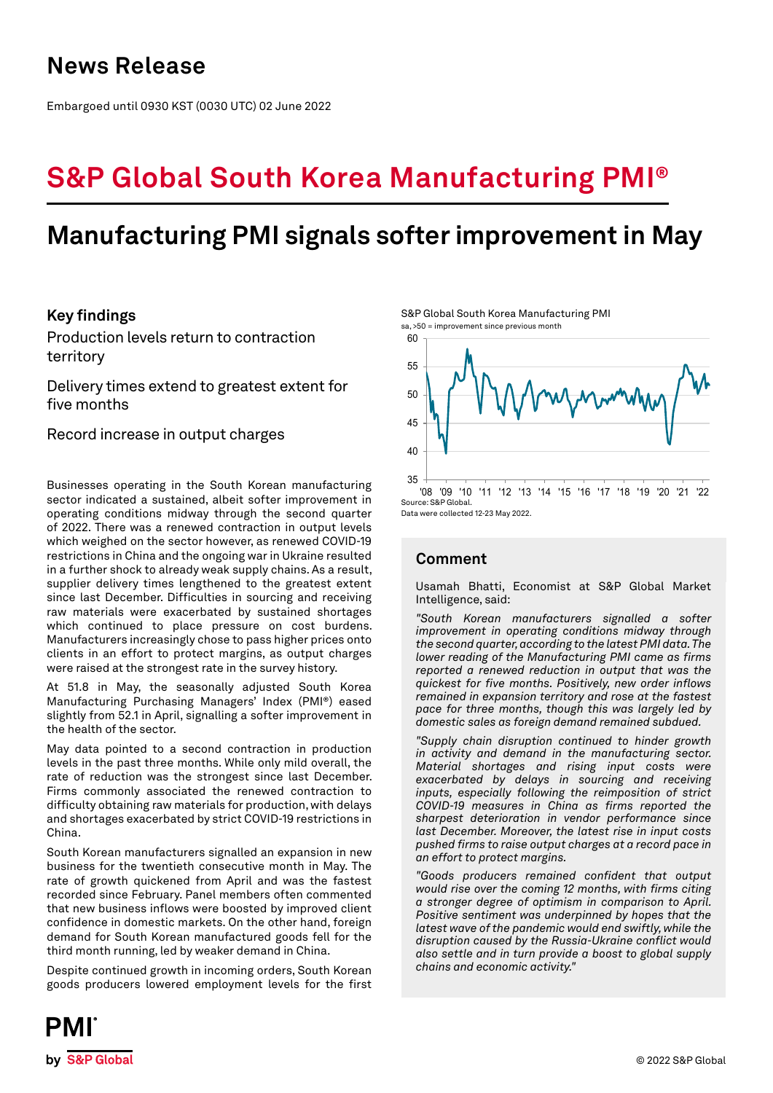## **News Release**

Embargoed until 0930 KST (0030 UTC) 02 June 2022

# **S&P Global South Korea Manufacturing PMI®**

## **Manufacturing PMI signals softer improvement in May**

## **Key findings**

Production levels return to contraction territory

Delivery times extend to greatest extent for five months

Record increase in output charges

Businesses operating in the South Korean manufacturing sector indicated a sustained, albeit softer improvement in operating conditions midway through the second quarter of 2022. There was a renewed contraction in output levels which weighed on the sector however, as renewed COVID-19 restrictions in China and the ongoing war in Ukraine resulted in a further shock to already weak supply chains. As a result, supplier delivery times lengthened to the greatest extent since last December. Difficulties in sourcing and receiving raw materials were exacerbated by sustained shortages which continued to place pressure on cost burdens. Manufacturers increasingly chose to pass higher prices onto clients in an effort to protect margins, as output charges were raised at the strongest rate in the survey history.

At 51.8 in May, the seasonally adjusted South Korea Manufacturing Purchasing Managers' Index (PMI®) eased slightly from 52.1 in April, signalling a softer improvement in the health of the sector.

May data pointed to a second contraction in production levels in the past three months. While only mild overall, the rate of reduction was the strongest since last December. Firms commonly associated the renewed contraction to difficulty obtaining raw materials for production, with delays and shortages exacerbated by strict COVID-19 restrictions in China.

South Korean manufacturers signalled an expansion in new business for the twentieth consecutive month in May. The rate of growth quickened from April and was the fastest recorded since February. Panel members often commented that new business inflows were boosted by improved client confidence in domestic markets. On the other hand, foreign demand for South Korean manufactured goods fell for the third month running, led by weaker demand in China.

Despite continued growth in incoming orders, South Korean goods producers lowered employment levels for the first

S&P Global South Korea Manufacturing PMI sa, >50 = improvement since previous month



Data were collected 12-23 May 2022.

## **Comment**

Usamah Bhatti, Economist at S&P Global Market Intelligence, said:

*"South Korean manufacturers signalled a softer improvement in operating conditions midway through the second quarter, according to the latest PMI data. The lower reading of the Manufacturing PMI came as firms reported a renewed reduction in output that was the quickest for five months. Positively, new order inflows remained in expansion territory and rose at the fastest pace for three months, though this was largely led by domestic sales as foreign demand remained subdued.* 

*"Supply chain disruption continued to hinder growth in activity and demand in the manufacturing sector. Material shortages and rising input costs were exacerbated by delays in sourcing and receiving inputs, especially following the reimposition of strict COVID-19 measures in China as firms reported the sharpest deterioration in vendor performance since last December. Moreover, the latest rise in input costs pushed firms to raise output charges at a record pace in an effort to protect margins.*

*"Goods producers remained confident that output would rise over the coming 12 months, with firms citing a stronger degree of optimism in comparison to April. Positive sentiment was underpinned by hopes that the latest wave of the pandemic would end swiftly, while the disruption caused by the Russia-Ukraine conflict would also settle and in turn provide a boost to global supply chains and economic activity."*